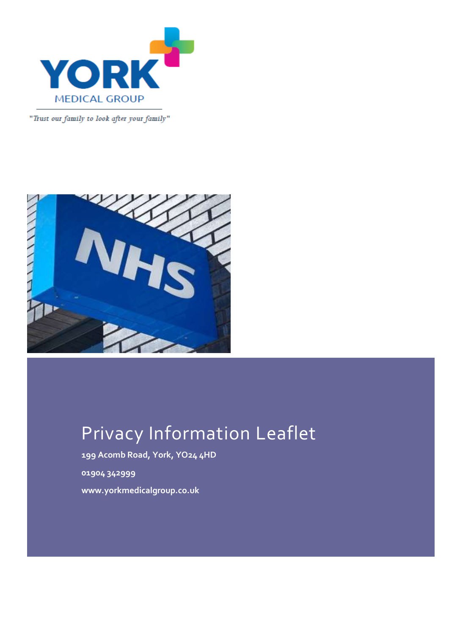

"Trust our family to look after your family"



# Privacy Information Leaflet

**199 Acomb Road, York, YO24 4HD 01904 342999 www.yorkmedicalgroup.co.uk**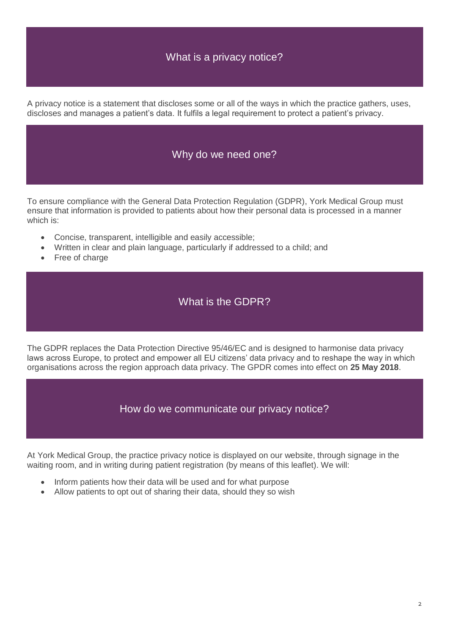## What is a privacy notice?

A privacy notice is a statement that discloses some or all of the ways in which the practice gathers, uses, discloses and manages a patient's data. It fulfils a legal requirement to protect a patient's privacy.

#### Why do we need one?

To ensure compliance with the General Data Protection Regulation (GDPR), York Medical Group must ensure that information is provided to patients about how their personal data is processed in a manner which is:

- Concise, transparent, intelligible and easily accessible;
- Written in clear and plain language, particularly if addressed to a child; and
- Free of charge

#### What is the GDPR?

The GDPR replaces the Data Protection Directive 95/46/EC and is designed to harmonise data privacy laws across Europe, to protect and empower all EU citizens' data privacy and to reshape the way in which organisations across the region approach data privacy. The GPDR comes into effect on **25 May 2018**.

How do we communicate our privacy notice?

At York Medical Group, the practice privacy notice is displayed on our website, through signage in the waiting room, and in writing during patient registration (by means of this leaflet). We will:

- Inform patients how their data will be used and for what purpose
- Allow patients to opt out of sharing their data, should they so wish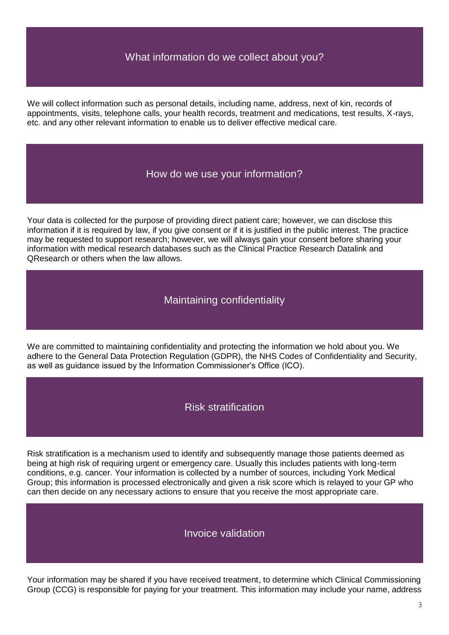#### What information do we collect about you?

We will collect information such as personal details, including name, address, next of kin, records of appointments, visits, telephone calls, your health records, treatment and medications, test results, X-rays, etc. and any other relevant information to enable us to deliver effective medical care.

#### How do we use your information?

Your data is collected for the purpose of providing direct patient care; however, we can disclose this information if it is required by law, if you give consent or if it is justified in the public interest. The practice may be requested to support research; however, we will always gain your consent before sharing your information with medical research databases such as the Clinical Practice Research Datalink and QResearch or others when the law allows.

#### Maintaining confidentiality

We are committed to maintaining confidentiality and protecting the information we hold about you. We adhere to the General Data Protection Regulation (GDPR), the NHS Codes of Confidentiality and Security, as well as guidance issued by the Information Commissioner's Office (ICO).

#### Risk stratification

Risk stratification is a mechanism used to identify and subsequently manage those patients deemed as being at high risk of requiring urgent or emergency care. Usually this includes patients with long-term conditions, e.g. cancer. Your information is collected by a number of sources, including York Medical Group; this information is processed electronically and given a risk score which is relayed to your GP who can then decide on any necessary actions to ensure that you receive the most appropriate care.

#### Invoice validation

Your information may be shared if you have received treatment, to determine which Clinical Commissioning Group (CCG) is responsible for paying for your treatment. This information may include your name, address